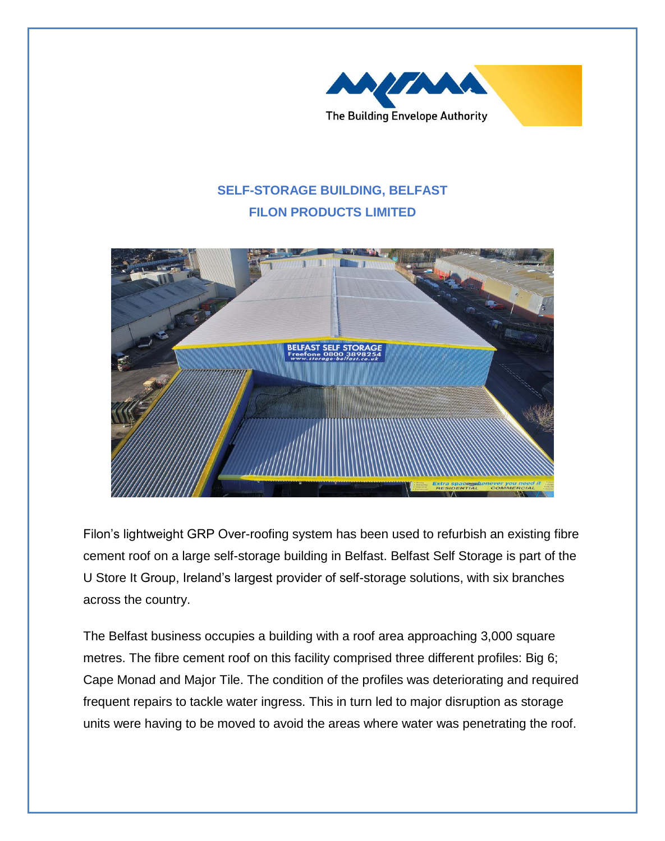

## **SELF-STORAGE BUILDING, BELFAST FILON PRODUCTS LIMITED**



Filon's lightweight GRP Over-roofing system has been used to refurbish an existing fibre cement roof on a large self-storage building in Belfast. Belfast Self Storage is part of the U Store It Group, Ireland's largest provider of self-storage solutions, with six branches across the country.

The Belfast business occupies a building with a roof area approaching 3,000 square metres. The fibre cement roof on this facility comprised three different profiles: Big 6; Cape Monad and Major Tile. The condition of the profiles was deteriorating and required frequent repairs to tackle water ingress. This in turn led to major disruption as storage units were having to be moved to avoid the areas where water was penetrating the roof.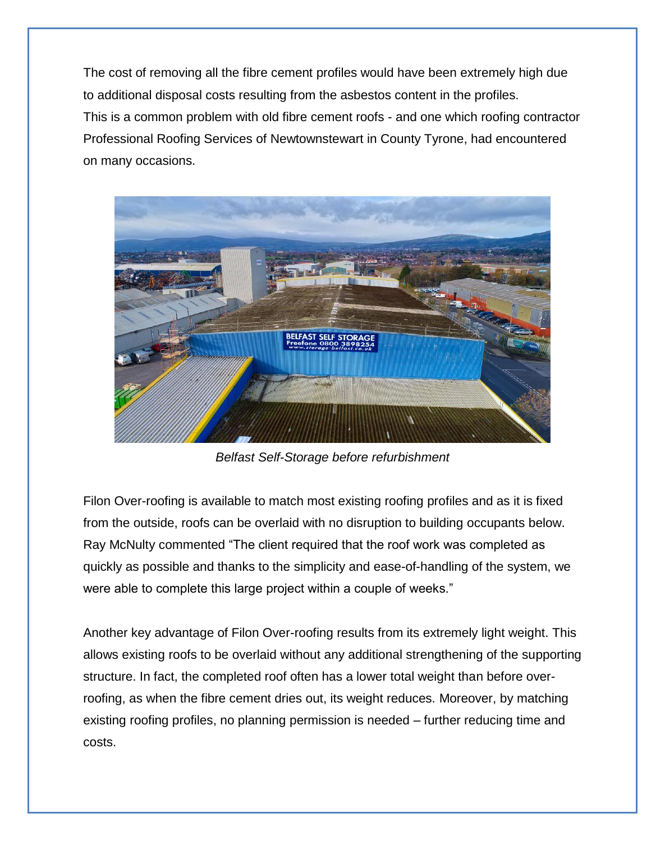The cost of removing all the fibre cement profiles would have been extremely high due to additional disposal costs resulting from the asbestos content in the profiles. This is a common problem with old fibre cement roofs - and one which roofing contractor Professional Roofing Services of Newtownstewart in County Tyrone, had encountered on many occasions.



*Belfast Self-Storage before refurbishment*

Filon Over-roofing is available to match most existing roofing profiles and as it is fixed from the outside, roofs can be overlaid with no disruption to building occupants below. Ray McNulty commented "The client required that the roof work was completed as quickly as possible and thanks to the simplicity and ease-of-handling of the system, we were able to complete this large project within a couple of weeks."

Another key advantage of Filon Over-roofing results from its extremely light weight. This allows existing roofs to be overlaid without any additional strengthening of the supporting structure. In fact, the completed roof often has a lower total weight than before overroofing, as when the fibre cement dries out, its weight reduces. Moreover, by matching existing roofing profiles, no planning permission is needed – further reducing time and costs.